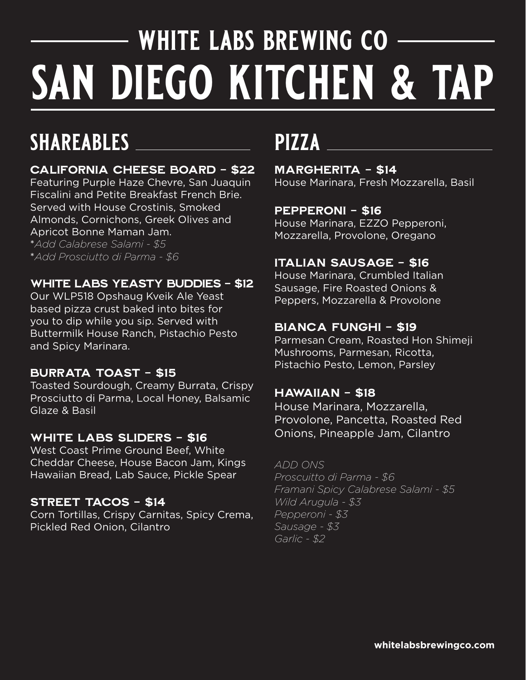# **white labs brewing co san diego kitchen & tap**

## **shareables pizza**

### California Cheese board - \$22

Featuring Purple Haze Chevre, San Juaquin Fiscalini and Petite Breakfast French Brie. Served with House Crostinis, Smoked Almonds, Cornichons, Greek Olives and Apricot Bonne Maman Jam. \**Add Calabrese Salami - \$5*

\**Add Prosciutto di Parma - \$6*

### White Labs Yeasty Buddies - \$12

Our WLP518 Opshaug Kveik Ale Yeast based pizza crust baked into bites for you to dip while you sip. Served with Buttermilk House Ranch, Pistachio Pesto and Spicy Marinara.

### Burrata Toast - \$15

Toasted Sourdough, Creamy Burrata, Crispy Prosciutto di Parma, Local Honey, Balsamic Glaze & Basil

### WHITE LABS SLIDERS - \$16

West Coast Prime Ground Beef, White Cheddar Cheese, House Bacon Jam, Kings Hawaiian Bread, Lab Sauce, Pickle Spear

### Street Tacos - \$14

Corn Tortillas, Crispy Carnitas, Spicy Crema, Pickled Red Onion, Cilantro

Margherita - \$14 House Marinara, Fresh Mozzarella, Basil

### Pepperoni - \$16

House Marinara, EZZO Pepperoni, Mozzarella, Provolone, Oregano

### Italian Sausage - \$16

House Marinara, Crumbled Italian Sausage, Fire Roasted Onions & Peppers, Mozzarella & Provolone

### bianca funghi - \$19

Parmesan Cream, Roasted Hon Shimeji Mushrooms, Parmesan, Ricotta, Pistachio Pesto, Lemon, Parsley

### Hawaiian - \$18

House Marinara, Mozzarella, Provolone, Pancetta, Roasted Red Onions, Pineapple Jam, Cilantro

*ADD ONS Proscuitto di Parma - \$6 Framani Spicy Calabrese Salami - \$5 Wild Arugula - \$3*

*Pepperoni - \$3 Sausage - \$3 Garlic - \$2*